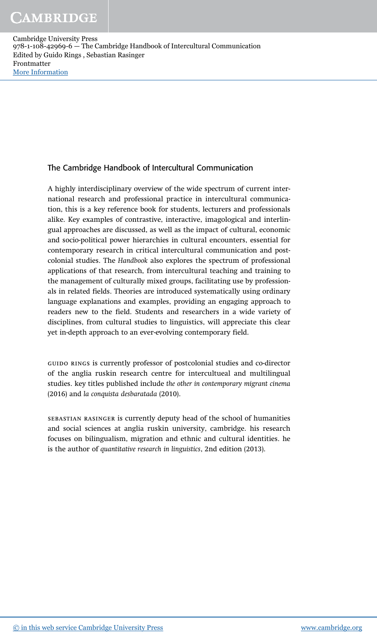### The Cambridge Handbook of Intercultural Communication

A highly interdisciplinary overview of the wide spectrum of current international research and professional practice in intercultural communication, this is a key reference book for students, lecturers and professionals alike. Key examples of contrastive, interactive, imagological and interlingual approaches are discussed, as well as the impact of cultural, economic and socio-political power hierarchies in cultural encounters, essential for contemporary research in critical intercultural communication and postcolonial studies. The *Handbook* also explores the spectrum of professional applications of that research, from intercultural teaching and training to the management of culturally mixed groups, facilitating use by professionals in related fields. Theories are introduced systematically using ordinary language explanations and examples, providing an engaging approach to readers new to the field. Students and researchers in a wide variety of disciplines, from cultural studies to linguistics, will appreciate this clear yet in-depth approach to an ever-evolving contemporary field.

guido rings is currently professor of postcolonial studies and co-director of the anglia ruskin research centre for intercultueal and multilingual studies. key titles published include *the other in contemporary migrant cinema* (2016) and *la conquista desbaratada* (2010).

sebastian rasinger is currently deputy head of the school of humanities and social sciences at anglia ruskin university, cambridge. his research focuses on bilingualism, migration and ethnic and cultural identities. he is the author of *quantitative research in linguistics*, 2nd edition (2013).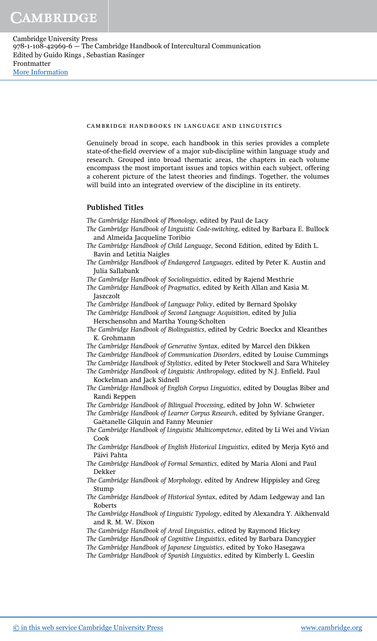cambridge handbooks in language and linguistics

Genuinely broad in scope, each handbook in this series provides a complete state-of-the-field overview of a major sub-discipline within language study and research. Grouped into broad thematic areas, the chapters in each volume encompass the most important issues and topics within each subject, offering a coherent picture of the latest theories and findings. Together, the volumes will build into an integrated overview of the discipline in its entirety.

#### **Published Titles**

*The Cambridge Handbook of Phonology*, edited by Paul de Lacy

- *The Cambridge Handbook of Linguistic Code-switching*, edited by Barbara E. Bullock and Almeida Jacqueline Toribio
- *The Cambridge Handbook of Child Language*, Second Edition, edited by Edith L. Bavin and Letitia Naigles
- *The Cambridge Handbook of Endangered Languages*, edited by Peter K. Austin and Julia Sallabank
- *The Cambridge Handbook of Sociolinguistics*, edited by Rajend Mesthrie
- *The Cambridge Handbook of Pragmatics*, edited by Keith Allan and Kasia M. Jaszczolt
- *The Cambridge Handbook of Language Policy*, edited by Bernard Spolsky
- *The Cambridge Handbook of Second Language Acquisition*, edited by Julia Herschensohn and Martha Young-Scholten
- *The Cambridge Handbook of Biolinguistics*, edited by Cedric Boeckx and Kleanthes K. Grohmann
- *The Cambridge Handbook of Generative Syntax*, edited by Marcel den Dikken
- *The Cambridge Handbook of Communication Disorders*, edited by Louise Cummings

*The Cambridge Handbook of Stylistics*, edited by Peter Stockwell and Sara Whiteley

*The Cambridge Handbook of Linguistic Anthropology*, edited by N.J. Enfield, Paul Kockelman and Jack Sidnell

*The Cambridge Handbook of English Corpus Linguistics*, edited by Douglas Biber and Randi Reppen

*The Cambridge Handbook of Bilingual Processing*, edited by John W. Schwieter

*The Cambridge Handbook of Learner Corpus Research*, edited by Sylviane Granger, Gaëtanelle Gilquin and Fanny Meunier

*The Cambridge Handbook of Linguistic Multicompetence*, edited by Li Wei and Vivian Cook

*The Cambridge Handbook of English Historical Linguistics*, edited by Merja Kytö and Päivi Pahta

- *The Cambridge Handbook of Formal Semantics*, edited by Maria Aloni and Paul Dekker
- *The Cambridge Handbook of Morphology*, edited by Andrew Hippisley and Greg Stump
- *The Cambridge Handbook of Historical Syntax*, edited by Adam Ledgeway and Ian Roberts

*The Cambridge Handbook of Linguistic Typology*, edited by Alexandra Y. Aikhenvald and R. M. W. Dixon

*The Cambridge Handbook of Areal Linguistics*, edited by Raymond Hickey

*The Cambridge Handbook of Cognitive Linguistics*, edited by Barbara Dancygier

*The Cambridge Handbook of Japanese Linguistics*, edited by Yoko Hasegawa

*The Cambridge Handbook of Spanish Linguistics*, edited by Kimberly L. Geeslin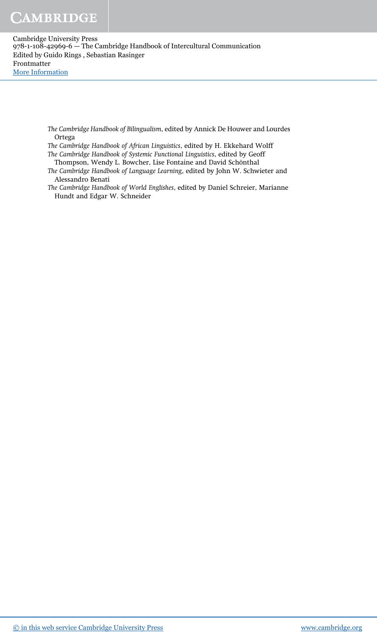> *The Cambridge Handbook of Bilingualism*, edited by Annick De Houwer and Lourdes Ortega

*The Cambridge Handbook of African Linguistics*, edited by H. Ekkehard Wolff *The Cambridge Handbook of Systemic Functional Linguistics*, edited by Geoff

Thompson, Wendy L. Bowcher, Lise Fontaine and David Schönthal *The Cambridge Handbook of Language Learning*, edited by John W. Schwieter and

Alessandro Benati

*The Cambridge Handbook of World Englishes*, edited by Daniel Schreier, Marianne Hundt and Edgar W. Schneider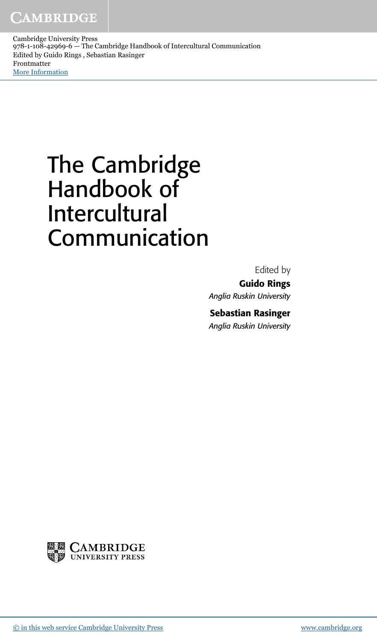# The Cambridge Handbook of Intercultural Communication

Edited by

Guido Rings *Anglia Ruskin University*

Sebastian Rasinger *Anglia Ruskin University*

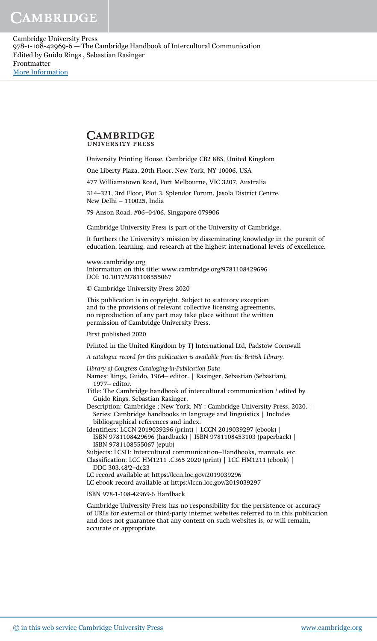CAMBRIDGE

Cambridge University Press 978-1-108-42969-6 — The Cambridge Handbook of Intercultural Communication Edited by Guido Rings , Sebastian Rasinger Frontmatter [More Information](www.cambridge.org/9781108429696)

#### **CAMBRIDGE UNIVERSITY PRESS**

University Printing House, Cambridge CB2 8BS, United Kingdom

One Liberty Plaza, 20th Floor, New York, NY 10006, USA

477 Williamstown Road, Port Melbourne, VIC 3207, Australia

314–321, 3rd Floor, Plot 3, Splendor Forum, Jasola District Centre, New Delhi – 110025, India

79 Anson Road, #06–04/06, Singapore 079906

Cambridge University Press is part of the University of Cambridge.

It furthers the University's mission by disseminating knowledge in the pursuit of education, learning, and research at the highest international levels of excellence.

www.cambridge.org Information on this title: www.cambridge.org/9781108429696 DOI: 10.1017/9781108555067

© Cambridge University Press 2020

This publication is in copyright. Subject to statutory exception and to the provisions of relevant collective licensing agreements, no reproduction of any part may take place without the written permission of Cambridge University Press.

First published 2020

Printed in the United Kingdom by TJ International Ltd, Padstow Cornwall

A catalogue record for this publication is available from the British Library.

*Library of Congress Cataloging-in-Publication Data*

Names: Rings, Guido, 1964– editor. | Rasinger, Sebastian (Sebastian), 1977– editor.

Title: The Cambridge handbook of intercultural communication / edited by Guido Rings, Sebastian Rasinger.

Description: Cambridge ; New York, NY : Cambridge University Press, 2020. | Series: Cambridge handbooks in language and linguistics | Includes bibliographical references and index.

Identifiers: LCCN 2019039296 (print) | LCCN 2019039297 (ebook) | ISBN 9781108429696 (hardback) | ISBN 9781108453103 (paperback) |

ISBN 9781108555067 (epub)

Subjects: LCSH: Intercultural communication–Handbooks, manuals, etc. Classification: LCC HM1211 .C365 2020 (print) | LCC HM1211 (ebook) | DDC 303.48/2–dc23

LC record available at https://lccn.loc.gov/2019039296

LC ebook record available at https://lccn.loc.gov/2019039297

ISBN 978-1-108-42969-6 Hardback

Cambridge University Press has no responsibility for the persistence or accuracy of URLs for external or third-party internet websites referred to in this publication and does not guarantee that any content on such websites is, or will remain, accurate or appropriate.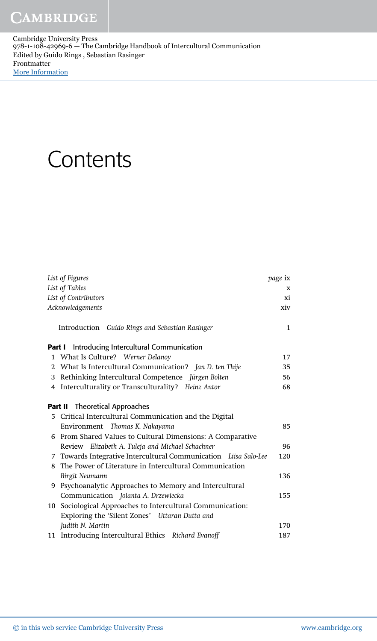### **Contents**

|   | List of Figures                                                                                 | page ix      |
|---|-------------------------------------------------------------------------------------------------|--------------|
|   | List of Tables                                                                                  | $\mathbf x$  |
|   | List of Contributors                                                                            | xi           |
|   | Acknowledgements                                                                                |              |
|   | Introduction Guido Rings and Sebastian Rasinger                                                 | $\mathbf{1}$ |
|   | <b>Part I</b> Introducing Intercultural Communication                                           |              |
|   | 1 What Is Culture? Werner Delanoy                                                               | 17           |
|   | 2 What Is Intercultural Communication? Jan D. ten Thije                                         | 35           |
| 3 | Rethinking Intercultural Competence Jürgen Bolten                                               | 56           |
|   | 4 Interculturality or Transculturality? Heinz Antor                                             | 68           |
|   | <b>Part II</b> Theoretical Approaches<br>5 Critical Intercultural Communication and the Digital |              |
|   | Environment Thomas K. Nakayama                                                                  | 85           |
|   | 6 From Shared Values to Cultural Dimensions: A Comparative                                      |              |
|   | Review Elizabeth A. Tuleja and Michael Schachner                                                | 96           |
|   | 7 Towards Integrative Intercultural Communication Liisa Salo-Lee                                | 120          |
|   | 8 The Power of Literature in Intercultural Communication                                        |              |
|   | Birgit Neumann                                                                                  | 136          |
| 9 | Psychoanalytic Approaches to Memory and Intercultural                                           |              |
|   | Communication Jolanta A. Drzewiecka                                                             | 155          |
|   | 10 Sociological Approaches to Intercultural Communication:                                      |              |
|   | Exploring the 'Silent Zones' Uttaran Dutta and                                                  |              |
|   | Judith N. Martin                                                                                | 170          |
|   | 11 Introducing Intercultural Ethics Richard Evanoff                                             | 187          |
|   |                                                                                                 |              |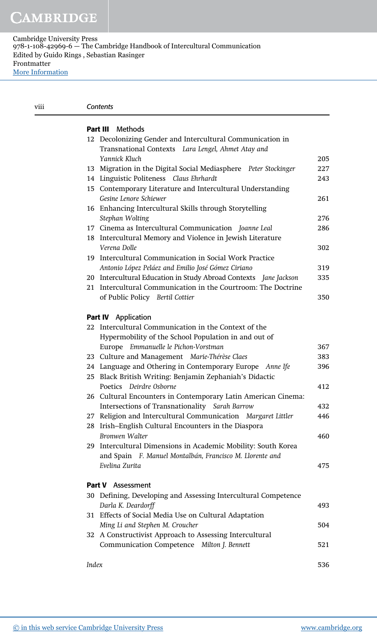| viii | Contents                                                                                                        |     |
|------|-----------------------------------------------------------------------------------------------------------------|-----|
|      | Part III Methods                                                                                                |     |
|      | 12 Decolonizing Gender and Intercultural Communication in<br>Transnational Contexts Lara Lengel, Ahmet Atay and |     |
|      | Yannick Kluch                                                                                                   | 205 |
|      | 13 Migration in the Digital Social Mediasphere Peter Stockinger                                                 | 227 |
|      | 14 Linguistic Politeness Claus Ehrhardt                                                                         | 243 |
|      | 15 Contemporary Literature and Intercultural Understanding                                                      |     |
|      | Gesine Lenore Schiewer                                                                                          | 261 |
|      | 16 Enhancing Intercultural Skills through Storytelling                                                          | 276 |
|      | Stephan Wolting<br>17 Cinema as Intercultural Communication Joanne Leal                                         | 286 |
|      | 18 Intercultural Memory and Violence in Jewish Literature                                                       |     |
|      | Verena Dolle                                                                                                    | 302 |
|      | 19 Intercultural Communication in Social Work Practice                                                          |     |
|      | Antonio López Peláez and Emilio José Gómez Ciriano                                                              | 319 |
|      | 20 Intercultural Education in Study Abroad Contexts Jane Jackson                                                | 335 |
|      | 21 Intercultural Communication in the Courtroom: The Doctrine                                                   |     |
|      | of Public Policy Bertil Cottier                                                                                 | 350 |
|      | <b>Part IV</b> Application                                                                                      |     |
|      | 22 Intercultural Communication in the Context of the                                                            |     |
|      | Hypermobility of the School Population in and out of                                                            |     |
|      | Europe Emmanuelle le Pichon-Vorstman                                                                            | 367 |
|      | 23 Culture and Management Marie-Thérèse Claes                                                                   | 383 |
|      | 24 Language and Othering in Contemporary Europe Anne Ife                                                        | 396 |
|      | 25 Black British Writing: Benjamin Zephaniah's Didactic                                                         |     |
|      | Poetics Deirdre Osborne                                                                                         | 412 |
|      | 26 Cultural Encounters in Contemporary Latin American Cinema:                                                   |     |
|      | Intersections of Transnationality Sarah Barrow                                                                  | 432 |
|      | 27 Religion and Intercultural Communication Margaret Littler                                                    | 446 |
|      | 28 Irish-English Cultural Encounters in the Diaspora<br>Bronwen Walter                                          |     |
|      | 29 Intercultural Dimensions in Academic Mobility: South Korea                                                   | 460 |
|      | and Spain F. Manuel Montalbán, Francisco M. Llorente and                                                        |     |
|      | Evelina Zurita                                                                                                  | 475 |
|      |                                                                                                                 |     |
|      | <b>Part V</b> Assessment<br>30 Defining, Developing and Assessing Intercultural Competence                      |     |
|      | Darla K. Deardorff                                                                                              | 493 |
|      | 31 Effects of Social Media Use on Cultural Adaptation                                                           |     |
|      | Ming Li and Stephen M. Croucher                                                                                 | 504 |
|      | 32 A Constructivist Approach to Assessing Intercultural                                                         |     |
|      | Communication Competence Milton J. Bennett                                                                      | 521 |
|      | Index                                                                                                           | 536 |
|      |                                                                                                                 |     |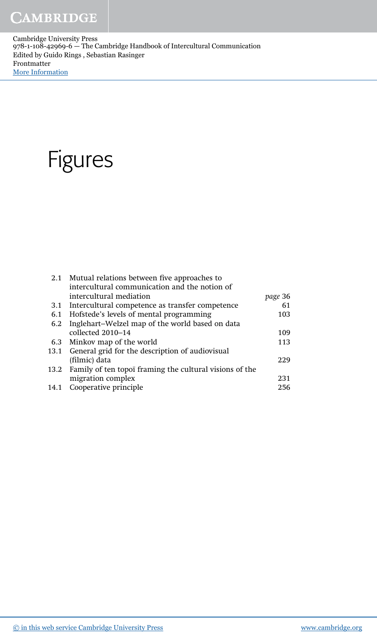# Figures

| Mutual relations between five approaches to                     |         |
|-----------------------------------------------------------------|---------|
| intercultural communication and the notion of                   |         |
| intercultural mediation                                         | page 36 |
| Intercultural competence as transfer competence                 | 61      |
| Hofstede's levels of mental programming                         | 103     |
| Inglehart-Welzel map of the world based on data                 |         |
| collected 2010-14                                               | 109     |
| Minkov map of the world                                         | 113     |
| General grid for the description of audiovisual                 |         |
| (filmic) data                                                   | 229     |
| Family of ten topoï framing the cultural visions of the<br>13.2 |         |
| migration complex                                               | 231     |
| Cooperative principle                                           | 256     |
|                                                                 |         |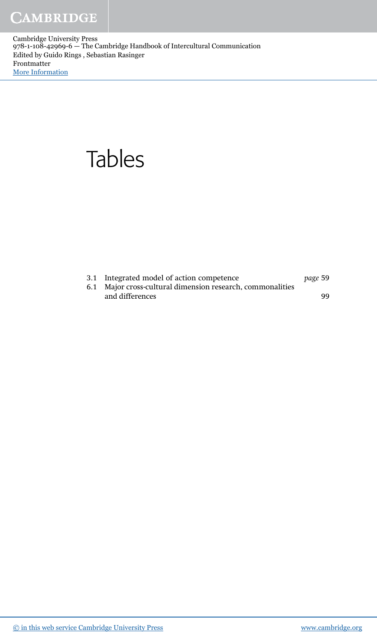# Tables

| 3.1 Integrated model of action competence                  | page 59 |
|------------------------------------------------------------|---------|
| 6.1 Major cross-cultural dimension research, commonalities |         |
| and differences                                            | 99      |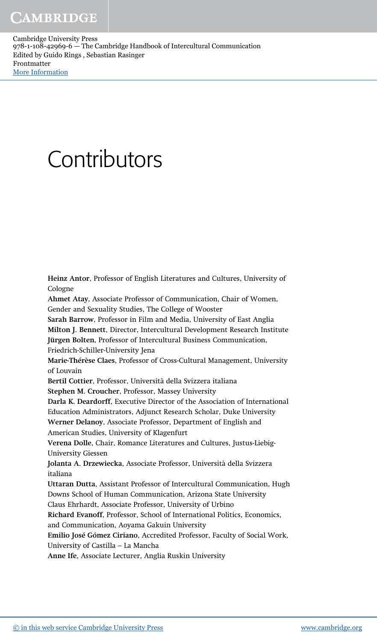# **Contributors**

Cologne **Ahmet Atay**, Associate Professor of Communication, Chair of Women, Gender and Sexuality Studies, The College of Wooster **Sarah Barrow**, Professor in Film and Media, University of East Anglia **Milton J. Bennett**, Director, Intercultural Development Research Institute **Jürgen Bolten**, Professor of Intercultural Business Communication, Friedrich-Schiller-University Jena **Marie-Thérèse Claes**, Professor of Cross-Cultural Management, University of Louvain **Bertil Cottier**, Professor, Università della Svizzera italiana **Stephen M. Croucher**, Professor, Massey University **Darla K. Deardorff**, Executive Director of the Association of International Education Administrators, Adjunct Research Scholar, Duke University **Werner Delanoy**, Associate Professor, Department of English and American Studies, University of Klagenfurt **Verena Dolle**, Chair, Romance Literatures and Cultures, Justus-Liebig-University Giessen **Jolanta A. Drzewiecka**, Associate Professor, Università della Svizzera italiana **Uttaran Dutta**, Assistant Professor of Intercultural Communication, Hugh Downs School of Human Communication, Arizona State University Claus Ehrhardt, Associate Professor, University of Urbino **Richard Evanoff**, Professor, School of International Politics, Economics, and Communication, Aoyama Gakuin University **Emilio José Gómez Ciriano**, Accredited Professor, Faculty of Social Work, University of Castilla – La Mancha **Anne Ife**, Associate Lecturer, Anglia Ruskin University

**Heinz Antor**, Professor of English Literatures and Cultures, University of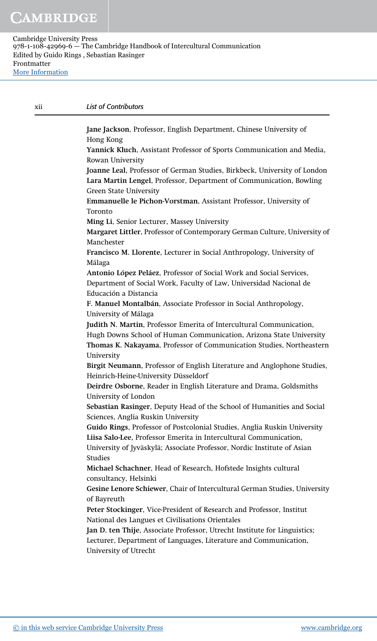### **CAMBRIDGE**

**Jane Jackson**, Professor, English Department, Chinese University of Hong Kong **Yannick Kluch**, Assistant Professor of Sports Communication and Media, Rowan University **Joanne Leal**, Professor of German Studies, Birkbeck, University of London **Lara Martin Lengel**, Professor, Department of Communication, Bowling Green State University **Emmanuelle le Pichon-Vorstman**, Assistant Professor, University of Toronto **Ming Li**, Senior Lecturer, Massey University **Margaret Littler**, Professor of Contemporary German Culture, University of Manchester **Francisco M. Llorente**, Lecturer in Social Anthropology, University of Málaga **Antonio López Peláez**, Professor of Social Work and Social Services, Department of Social Work, Faculty of Law, Universidad Nacional de Educación a Distancia **F. Manuel Montalbán**, Associate Professor in Social Anthropology, University of Málaga **Judith N. Martin**, Professor Emerita of Intercultural Communication, Hugh Downs School of Human Communication, Arizona State University **Thomas K. Nakayama**, Professor of Communication Studies, Northeastern University **Birgit Neumann**, Professor of English Literature and Anglophone Studies, Heinrich-Heine-University Düsseldorf **Deirdre Osborne**, Reader in English Literature and Drama, Goldsmiths University of London **Sebastian Rasinger**, Deputy Head of the School of Humanities and Social Sciences, Anglia Ruskin University **Guido Rings**, Professor of Postcolonial Studies, Anglia Ruskin University **Liisa Salo-Lee**, Professor Emerita in Intercultural Communication, University of Jyväskylä; Associate Professor, Nordic Institute of Asian Studies **Michael Schachner**, Head of Research, Hofstede Insights cultural consultancy, Helsinki **Gesine Lenore Schiewer**, Chair of Intercultural German Studies, University of Bayreuth **Peter Stockinger**, Vice-President of Research and Professor, Institut National des Langues et Civilisations Orientales **Jan D. ten Thije**, Associate Professor, Utrecht Institute for Linguistics; Lecturer, Department of Languages, Literature and Communication, University of Utrecht xii *List of Contributors*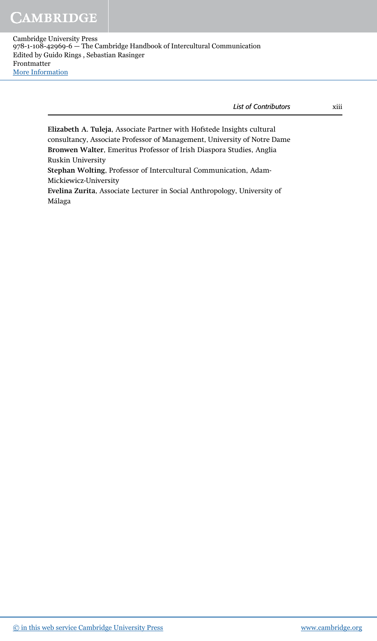*List of Contributors* xiii

**Elizabeth A. Tuleja**, Associate Partner with Hofstede Insights cultural consultancy, Associate Professor of Management, University of Notre Dame **Bronwen Walter**, Emeritus Professor of Irish Diaspora Studies, Anglia Ruskin University **Stephan Wolting**, Professor of Intercultural Communication, Adam-Mickiewicz-University **Evelina Zurita**, Associate Lecturer in Social Anthropology, University of Málaga